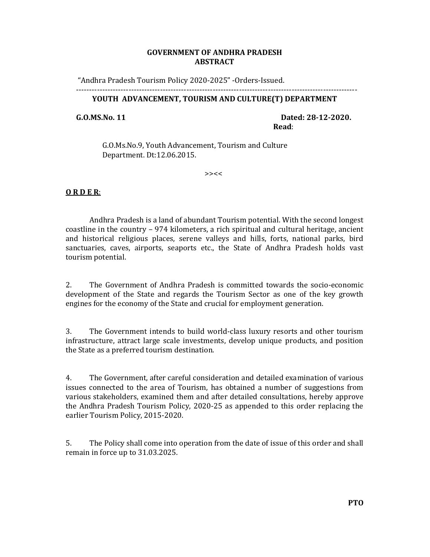### **GOVERNMENT OF ANDHRA PRADESH ABSTRACT**

"Andhra Pradesh Tourism Policy 2020-2025" -Orders-Issued.

#### ----------------------------------------------------------------------------------------------------------- **YOUTH ADVANCEMENT, TOURISM AND CULTURE(T) DEPARTMENT**

 **G.O.MS.No. 11 Dated: 28-12-2020. Read**:

 G.O.Ms.No.9, Youth Advancement, Tourism and Culture Department. Dt:12.06.2015.

>><<

### **O R D E R**:

 Andhra Pradesh is a land of abundant Tourism potential. With the second longest coastline in the country – 974 kilometers, a rich spiritual and cultural heritage, ancient and historical religious places, serene valleys and hills, forts, national parks, bird sanctuaries, caves, airports, seaports etc., the State of Andhra Pradesh holds vast tourism potential.

2. The Government of Andhra Pradesh is committed towards the socio-economic development of the State and regards the Tourism Sector as one of the key growth engines for the economy of the State and crucial for employment generation.

3. The Government intends to build world-class luxury resorts and other tourism infrastructure, attract large scale investments, develop unique products, and position the State as a preferred tourism destination.

4. The Government, after careful consideration and detailed examination of various issues connected to the area of Tourism, has obtained a number of suggestions from various stakeholders, examined them and after detailed consultations, hereby approve the Andhra Pradesh Tourism Policy, 2020-25 as appended to this order replacing the earlier Tourism Policy, 2015-2020.

5. The Policy shall come into operation from the date of issue of this order and shall remain in force up to 31.03.2025.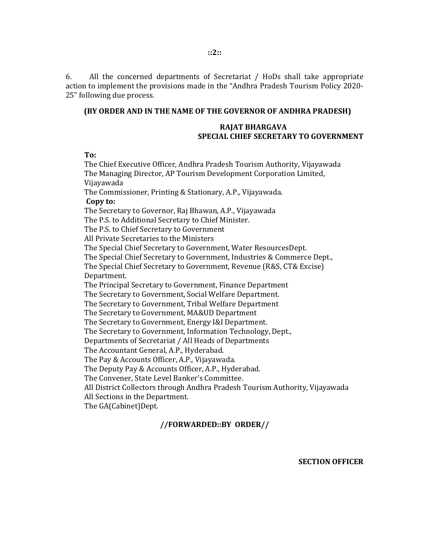6. All the concerned departments of Secretariat / HoDs shall take appropriate action to implement the provisions made in the "Andhra Pradesh Tourism Policy 2020- 25" following due process.

#### **(BY ORDER AND IN THE NAME OF THE GOVERNOR OF ANDHRA PRADESH)**

#### **RAJAT BHARGAVA SPECIAL CHIEF SECRETARY TO GOVERNMENT**

**To:** 

The Chief Executive Officer, Andhra Pradesh Tourism Authority, Vijayawada The Managing Director, AP Tourism Development Corporation Limited, Vijayawada The Commissioner, Printing & Stationary, A.P., Vijayawada. **Copy to:**  The Secretary to Governor, Raj Bhawan, A.P., Vijayawada The P.S. to Additional Secretary to Chief Minister. The P.S. to Chief Secretary to Government All Private Secretaries to the Ministers The Special Chief Secretary to Government, Water ResourcesDept. The Special Chief Secretary to Government, Industries & Commerce Dept., The Special Chief Secretary to Government, Revenue (R&S, CT& Excise) Department. The Principal Secretary to Government, Finance Department The Secretary to Government, Social Welfare Department. The Secretary to Government, Tribal Welfare Department The Secretary to Government, MA&UD Department The Secretary to Government, Energy I&I Department. The Secretary to Government, Information Technology, Dept., Departments of Secretariat / All Heads of Departments The Accountant General, A.P., Hyderabad. The Pay & Accounts Officer, A.P., Vijayawada. The Deputy Pay & Accounts Officer, A.P., Hyderabad. The Convener, State Level Banker's Committee. All District Collectors through Andhra Pradesh Tourism Authority, Vijayawada All Sections in the Department. The GA(Cabinet)Dept.

### **//FORWARDED::BY ORDER//**

**SECTION OFFICER**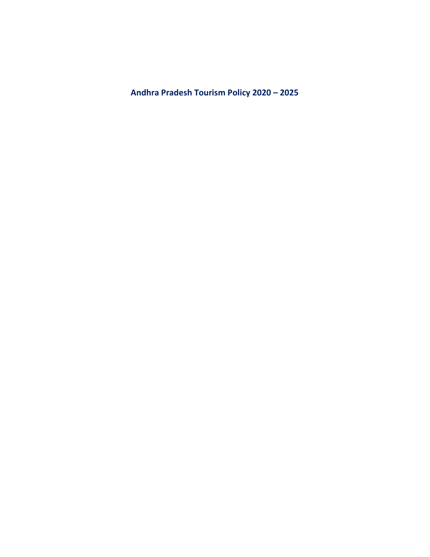**Andhra Pradesh Tourism Policy 2020 – 2025**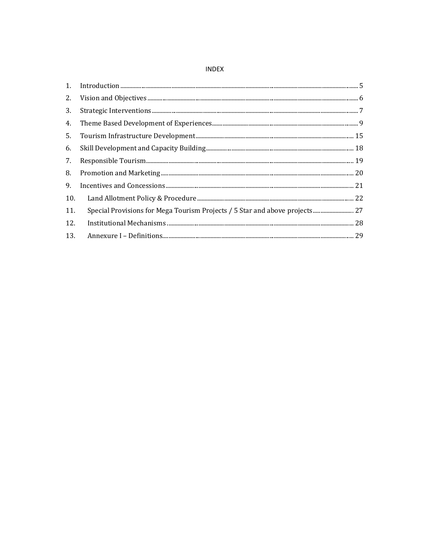#### **INDEX**

| 1 <sub>1</sub> |                                                                             |
|----------------|-----------------------------------------------------------------------------|
| 2.             |                                                                             |
| 3.             |                                                                             |
| 4.             |                                                                             |
| 5.             |                                                                             |
| 6.             |                                                                             |
| 7.             |                                                                             |
| 8.             |                                                                             |
| 9.             |                                                                             |
| 10.            |                                                                             |
| 11.            | Special Provisions for Mega Tourism Projects / 5 Star and above projects 27 |
| 12.            |                                                                             |
| 13.            |                                                                             |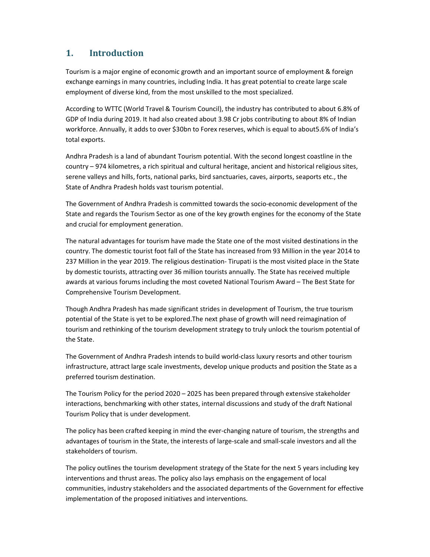# **1. Introduction**

Tourism is a major engine of economic growth and an important source of employment & foreign exchange earnings in many countries, including India. It has great potential to create large scale employment of diverse kind, from the most unskilled to the most specialized.

According to WTTC (World Travel & Tourism Council), the industry has contributed to about 6.8% of GDP of India during 2019. It had also created about 3.98 Cr jobs contributing to about 8% of Indian workforce. Annually, it adds to over \$30bn to Forex reserves, which is equal to about5.6% of India's total exports.

Andhra Pradesh is a land of abundant Tourism potential. With the second longest coastline in the country – 974 kilometres, a rich spiritual and cultural heritage, ancient and historical religious sites, serene valleys and hills, forts, national parks, bird sanctuaries, caves, airports, seaports etc., the State of Andhra Pradesh holds vast tourism potential.

The Government of Andhra Pradesh is committed towards the socio-economic development of the State and regards the Tourism Sector as one of the key growth engines for the economy of the State and crucial for employment generation.

The natural advantages for tourism have made the State one of the most visited destinations in the country. The domestic tourist foot fall of the State has increased from 93 Million in the year 2014 to 237 Million in the year 2019. The religious destination- Tirupati is the most visited place in the State by domestic tourists, attracting over 36 million tourists annually. The State has received multiple awards at various forums including the most coveted National Tourism Award – The Best State for Comprehensive Tourism Development.

Though Andhra Pradesh has made significant strides in development of Tourism, the true tourism potential of the State is yet to be explored.The next phase of growth will need reimagination of tourism and rethinking of the tourism development strategy to truly unlock the tourism potential of the State.

The Government of Andhra Pradesh intends to build world-class luxury resorts and other tourism infrastructure, attract large scale investments, develop unique products and position the State as a preferred tourism destination.

The Tourism Policy for the period 2020 – 2025 has been prepared through extensive stakeholder interactions, benchmarking with other states, internal discussions and study of the draft National Tourism Policy that is under development.

The policy has been crafted keeping in mind the ever-changing nature of tourism, the strengths and advantages of tourism in the State, the interests of large-scale and small-scale investors and all the stakeholders of tourism.

The policy outlines the tourism development strategy of the State for the next 5 years including key interventions and thrust areas. The policy also lays emphasis on the engagement of local communities, industry stakeholders and the associated departments of the Government for effective implementation of the proposed initiatives and interventions.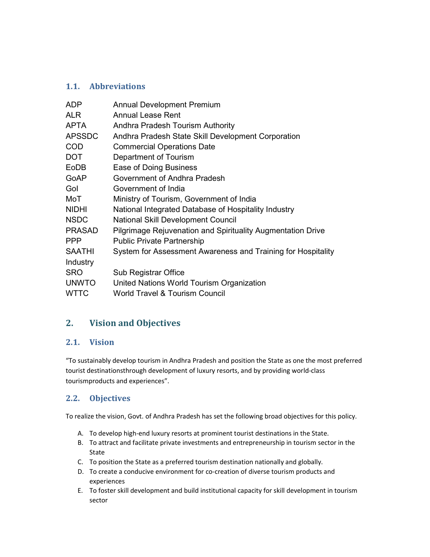# **1.1. Abbreviations**

| <b>ADP</b>    | <b>Annual Development Premium</b>                                  |
|---------------|--------------------------------------------------------------------|
| <b>ALR</b>    | <b>Annual Lease Rent</b>                                           |
| <b>APTA</b>   | Andhra Pradesh Tourism Authority                                   |
| <b>APSSDC</b> | Andhra Pradesh State Skill Development Corporation                 |
| <b>COD</b>    | <b>Commercial Operations Date</b>                                  |
| <b>DOT</b>    | Department of Tourism                                              |
| EoDB          | Ease of Doing Business                                             |
| GoAP          | Government of Andhra Pradesh                                       |
| Gol           | Government of India                                                |
| MoT           | Ministry of Tourism, Government of India                           |
| <b>NIDHI</b>  | National Integrated Database of Hospitality Industry               |
| <b>NSDC</b>   | <b>National Skill Development Council</b>                          |
| <b>PRASAD</b> | <b>Pilgrimage Rejuvenation and Spirituality Augmentation Drive</b> |
| <b>PPP</b>    | <b>Public Private Partnership</b>                                  |
| <b>SAATHI</b> | System for Assessment Awareness and Training for Hospitality       |
| Industry      |                                                                    |
| <b>SRO</b>    | Sub Registrar Office                                               |
| <b>UNWTO</b>  | United Nations World Tourism Organization                          |
| <b>WTTC</b>   | <b>World Travel &amp; Tourism Council</b>                          |

# **2. Vision and Objectives**

## **2.1. Vision**

"To sustainably develop tourism in Andhra Pradesh and position the State as one the most preferred tourist destinationsthrough development of luxury resorts, and by providing world-class tourismproducts and experiences".

# **2.2. Objectives**

To realize the vision, Govt. of Andhra Pradesh has set the following broad objectives for this policy.

- A. To develop high-end luxury resorts at prominent tourist destinations in the State.
- B. To attract and facilitate private investments and entrepreneurship in tourism sector in the State
- C. To position the State as a preferred tourism destination nationally and globally.
- D. To create a conducive environment for co-creation of diverse tourism products and experiences
- E. To foster skill development and build institutional capacity for skill development in tourism sector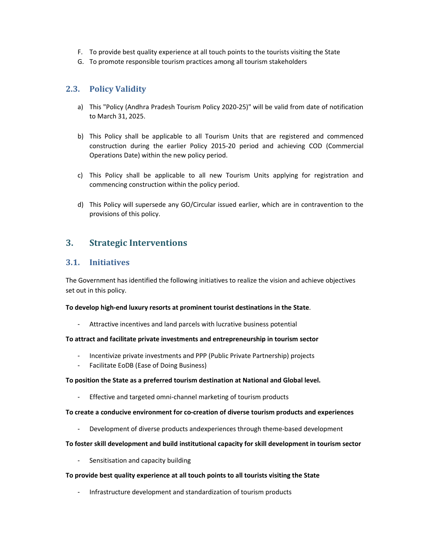- F. To provide best quality experience at all touch points to the tourists visiting the State
- G. To promote responsible tourism practices among all tourism stakeholders

### **2.3. Policy Validity**

- a) This "Policy (Andhra Pradesh Tourism Policy 2020-25)" will be valid from date of notification to March 31, 2025.
- b) This Policy shall be applicable to all Tourism Units that are registered and commenced construction during the earlier Policy 2015-20 period and achieving COD (Commercial Operations Date) within the new policy period.
- c) This Policy shall be applicable to all new Tourism Units applying for registration and commencing construction within the policy period.
- d) This Policy will supersede any GO/Circular issued earlier, which are in contravention to the provisions of this policy.

# **3. Strategic Interventions**

### **3.1. Initiatives**

The Government has identified the following initiatives to realize the vision and achieve objectives set out in this policy.

#### **To develop high-end luxury resorts at prominent tourist destinations in the State**.

- Attractive incentives and land parcels with lucrative business potential

#### **To attract and facilitate private investments and entrepreneurship in tourism sector**

- Incentivize private investments and PPP (Public Private Partnership) projects
- Facilitate EoDB (Ease of Doing Business)

#### **To position the State as a preferred tourism destination at National and Global level.**

- Effective and targeted omni-channel marketing of tourism products

#### **To create a conducive environment for co-creation of diverse tourism products and experiences**

- Development of diverse products andexperiences through theme-based development

#### **To foster skill development and build institutional capacity for skill development in tourism sector**

Sensitisation and capacity building

#### **To provide best quality experience at all touch points to all tourists visiting the State**

- Infrastructure development and standardization of tourism products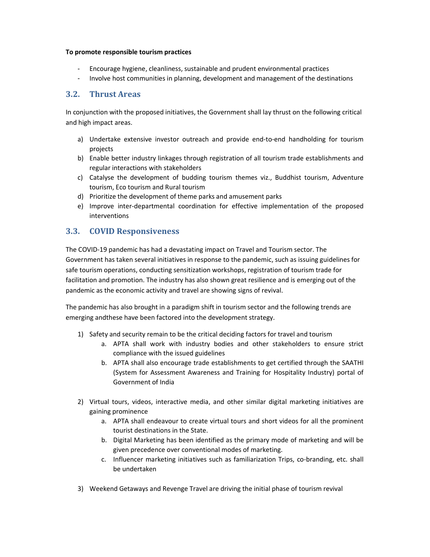#### **To promote responsible tourism practices**

- Encourage hygiene, cleanliness, sustainable and prudent environmental practices
- Involve host communities in planning, development and management of the destinations

### **3.2. Thrust Areas**

In conjunction with the proposed initiatives, the Government shall lay thrust on the following critical and high impact areas.

- a) Undertake extensive investor outreach and provide end-to-end handholding for tourism projects
- b) Enable better industry linkages through registration of all tourism trade establishments and regular interactions with stakeholders
- c) Catalyse the development of budding tourism themes viz., Buddhist tourism, Adventure tourism, Eco tourism and Rural tourism
- d) Prioritize the development of theme parks and amusement parks
- e) Improve inter-departmental coordination for effective implementation of the proposed interventions

## **3.3. COVID Responsiveness**

The COVID-19 pandemic has had a devastating impact on Travel and Tourism sector. The Government has taken several initiatives in response to the pandemic, such as issuing guidelines for safe tourism operations, conducting sensitization workshops, registration of tourism trade for facilitation and promotion. The industry has also shown great resilience and is emerging out of the pandemic as the economic activity and travel are showing signs of revival.

The pandemic has also brought in a paradigm shift in tourism sector and the following trends are emerging andthese have been factored into the development strategy.

- 1) Safety and security remain to be the critical deciding factors for travel and tourism
	- a. APTA shall work with industry bodies and other stakeholders to ensure strict compliance with the issued guidelines
	- b. APTA shall also encourage trade establishments to get certified through the SAATHI (System for Assessment Awareness and Training for Hospitality Industry) portal of Government of India
- 2) Virtual tours, videos, interactive media, and other similar digital marketing initiatives are gaining prominence
	- a. APTA shall endeavour to create virtual tours and short videos for all the prominent tourist destinations in the State.
	- b. Digital Marketing has been identified as the primary mode of marketing and will be given precedence over conventional modes of marketing.
	- c. Influencer marketing initiatives such as familiarization Trips, co-branding, etc. shall be undertaken
- 3) Weekend Getaways and Revenge Travel are driving the initial phase of tourism revival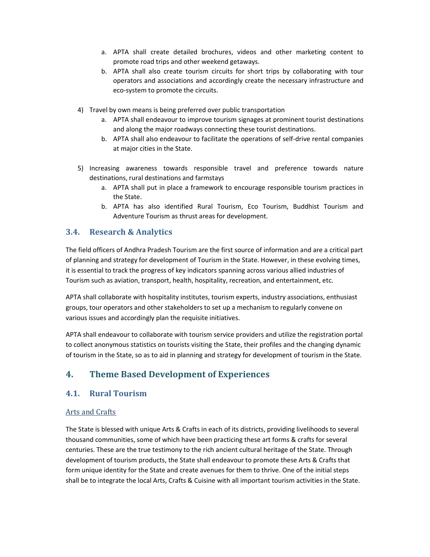- a. APTA shall create detailed brochures, videos and other marketing content to promote road trips and other weekend getaways.
- b. APTA shall also create tourism circuits for short trips by collaborating with tour operators and associations and accordingly create the necessary infrastructure and eco-system to promote the circuits.
- 4) Travel by own means is being preferred over public transportation
	- a. APTA shall endeavour to improve tourism signages at prominent tourist destinations and along the major roadways connecting these tourist destinations.
	- b. APTA shall also endeavour to facilitate the operations of self-drive rental companies at major cities in the State.
- 5) Increasing awareness towards responsible travel and preference towards nature destinations, rural destinations and farmstays
	- a. APTA shall put in place a framework to encourage responsible tourism practices in the State.
	- b. APTA has also identified Rural Tourism, Eco Tourism, Buddhist Tourism and Adventure Tourism as thrust areas for development.

### **3.4. Research & Analytics**

The field officers of Andhra Pradesh Tourism are the first source of information and are a critical part of planning and strategy for development of Tourism in the State. However, in these evolving times, it is essential to track the progress of key indicators spanning across various allied industries of Tourism such as aviation, transport, health, hospitality, recreation, and entertainment, etc.

APTA shall collaborate with hospitality institutes, tourism experts, industry associations, enthusiast groups, tour operators and other stakeholders to set up a mechanism to regularly convene on various issues and accordingly plan the requisite initiatives.

APTA shall endeavour to collaborate with tourism service providers and utilize the registration portal to collect anonymous statistics on tourists visiting the State, their profiles and the changing dynamic of tourism in the State, so as to aid in planning and strategy for development of tourism in the State.

# **4. Theme Based Development of Experiences**

### **4.1. Rural Tourism**

#### Arts and Crafts

The State is blessed with unique Arts & Crafts in each of its districts, providing livelihoods to several thousand communities, some of which have been practicing these art forms & crafts for several centuries. These are the true testimony to the rich ancient cultural heritage of the State. Through development of tourism products, the State shall endeavour to promote these Arts & Crafts that form unique identity for the State and create avenues for them to thrive. One of the initial steps shall be to integrate the local Arts, Crafts & Cuisine with all important tourism activities in the State.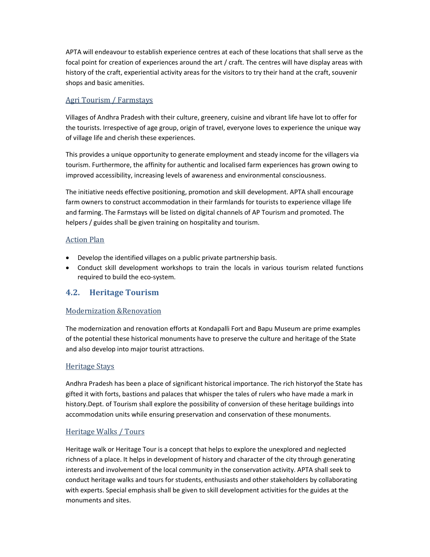APTA will endeavour to establish experience centres at each of these locations that shall serve as the focal point for creation of experiences around the art / craft. The centres will have display areas with history of the craft, experiential activity areas for the visitors to try their hand at the craft, souvenir shops and basic amenities.

#### Agri Tourism / Farmstays

Villages of Andhra Pradesh with their culture, greenery, cuisine and vibrant life have lot to offer for the tourists. Irrespective of age group, origin of travel, everyone loves to experience the unique way of village life and cherish these experiences.

This provides a unique opportunity to generate employment and steady income for the villagers via tourism. Furthermore, the affinity for authentic and localised farm experiences has grown owing to improved accessibility, increasing levels of awareness and environmental consciousness.

The initiative needs effective positioning, promotion and skill development. APTA shall encourage farm owners to construct accommodation in their farmlands for tourists to experience village life and farming. The Farmstays will be listed on digital channels of AP Tourism and promoted. The helpers / guides shall be given training on hospitality and tourism.

#### Action Plan

- Develop the identified villages on a public private partnership basis.
- Conduct skill development workshops to train the locals in various tourism related functions required to build the eco-system.

## **4.2. Heritage Tourism**

### Modernization &Renovation

The modernization and renovation efforts at Kondapalli Fort and Bapu Museum are prime examples of the potential these historical monuments have to preserve the culture and heritage of the State and also develop into major tourist attractions.

#### Heritage Stays

Andhra Pradesh has been a place of significant historical importance. The rich historyof the State has gifted it with forts, bastions and palaces that whisper the tales of rulers who have made a mark in history.Dept. of Tourism shall explore the possibility of conversion of these heritage buildings into accommodation units while ensuring preservation and conservation of these monuments.

#### Heritage Walks / Tours

Heritage walk or Heritage Tour is a concept that helps to explore the unexplored and neglected richness of a place. It helps in development of history and character of the city through generating interests and involvement of the local community in the conservation activity. APTA shall seek to conduct heritage walks and tours for students, enthusiasts and other stakeholders by collaborating with experts. Special emphasis shall be given to skill development activities for the guides at the monuments and sites.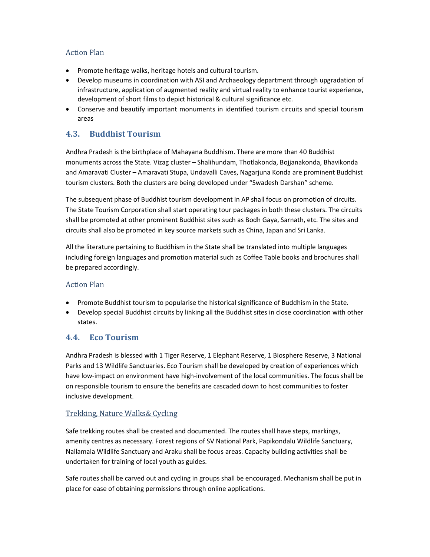### Action Plan

- Promote heritage walks, heritage hotels and cultural tourism.
- Develop museums in coordination with ASI and Archaeology department through upgradation of infrastructure, application of augmented reality and virtual reality to enhance tourist experience, development of short films to depict historical & cultural significance etc.
- Conserve and beautify important monuments in identified tourism circuits and special tourism areas

# **4.3. Buddhist Tourism**

Andhra Pradesh is the birthplace of Mahayana Buddhism. There are more than 40 Buddhist monuments across the State. Vizag cluster – Shalihundam, Thotlakonda, Bojjanakonda, Bhavikonda and Amaravati Cluster – Amaravati Stupa, Undavalli Caves, Nagarjuna Konda are prominent Buddhist tourism clusters. Both the clusters are being developed under "Swadesh Darshan" scheme.

The subsequent phase of Buddhist tourism development in AP shall focus on promotion of circuits. The State Tourism Corporation shall start operating tour packages in both these clusters. The circuits shall be promoted at other prominent Buddhist sites such as Bodh Gaya, Sarnath, etc. The sites and circuits shall also be promoted in key source markets such as China, Japan and Sri Lanka.

All the literature pertaining to Buddhism in the State shall be translated into multiple languages including foreign languages and promotion material such as Coffee Table books and brochures shall be prepared accordingly.

### Action Plan

- Promote Buddhist tourism to popularise the historical significance of Buddhism in the State.
- Develop special Buddhist circuits by linking all the Buddhist sites in close coordination with other states.

### **4.4. Eco Tourism**

Andhra Pradesh is blessed with 1 Tiger Reserve, 1 Elephant Reserve, 1 Biosphere Reserve, 3 National Parks and 13 Wildlife Sanctuaries. Eco Tourism shall be developed by creation of experiences which have low-impact on environment have high-involvement of the local communities. The focus shall be on responsible tourism to ensure the benefits are cascaded down to host communities to foster inclusive development.

### Trekking, Nature Walks& Cycling

Safe trekking routes shall be created and documented. The routes shall have steps, markings, amenity centres as necessary. Forest regions of SV National Park, Papikondalu Wildlife Sanctuary, Nallamala Wildlife Sanctuary and Araku shall be focus areas. Capacity building activities shall be undertaken for training of local youth as guides.

Safe routes shall be carved out and cycling in groups shall be encouraged. Mechanism shall be put in place for ease of obtaining permissions through online applications.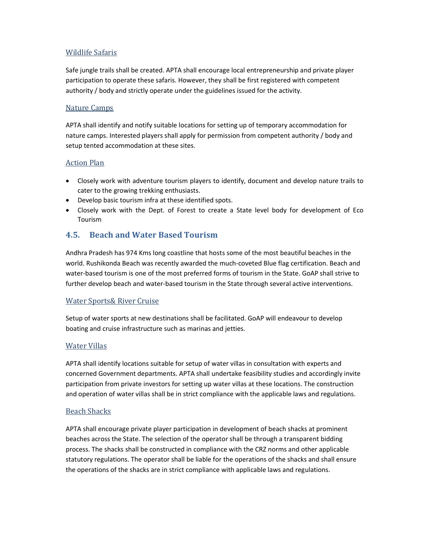### Wildlife Safaris

Safe jungle trails shall be created. APTA shall encourage local entrepreneurship and private player participation to operate these safaris. However, they shall be first registered with competent authority / body and strictly operate under the guidelines issued for the activity.

#### Nature Camps

APTA shall identify and notify suitable locations for setting up of temporary accommodation for nature camps. Interested players shall apply for permission from competent authority / body and setup tented accommodation at these sites.

#### Action Plan

- Closely work with adventure tourism players to identify, document and develop nature trails to cater to the growing trekking enthusiasts.
- Develop basic tourism infra at these identified spots.
- Closely work with the Dept. of Forest to create a State level body for development of Eco Tourism

### **4.5. Beach and Water Based Tourism**

Andhra Pradesh has 974 Kms long coastline that hosts some of the most beautiful beaches in the world. Rushikonda Beach was recently awarded the much-coveted Blue flag certification. Beach and water-based tourism is one of the most preferred forms of tourism in the State. GoAP shall strive to further develop beach and water-based tourism in the State through several active interventions.

#### Water Sports& River Cruise

Setup of water sports at new destinations shall be facilitated. GoAP will endeavour to develop boating and cruise infrastructure such as marinas and jetties.

### Water Villas

APTA shall identify locations suitable for setup of water villas in consultation with experts and concerned Government departments. APTA shall undertake feasibility studies and accordingly invite participation from private investors for setting up water villas at these locations. The construction and operation of water villas shall be in strict compliance with the applicable laws and regulations.

#### Beach Shacks

APTA shall encourage private player participation in development of beach shacks at prominent beaches across the State. The selection of the operator shall be through a transparent bidding process. The shacks shall be constructed in compliance with the CRZ norms and other applicable statutory regulations. The operator shall be liable for the operations of the shacks and shall ensure the operations of the shacks are in strict compliance with applicable laws and regulations.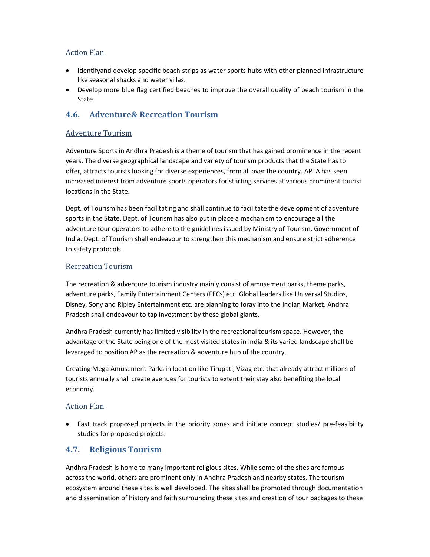### Action Plan

- Identifyand develop specific beach strips as water sports hubs with other planned infrastructure like seasonal shacks and water villas.
- Develop more blue flag certified beaches to improve the overall quality of beach tourism in the State

## **4.6. Adventure& Recreation Tourism**

#### Adventure Tourism

Adventure Sports in Andhra Pradesh is a theme of tourism that has gained prominence in the recent years. The diverse geographical landscape and variety of tourism products that the State has to offer, attracts tourists looking for diverse experiences, from all over the country. APTA has seen increased interest from adventure sports operators for starting services at various prominent tourist locations in the State.

Dept. of Tourism has been facilitating and shall continue to facilitate the development of adventure sports in the State. Dept. of Tourism has also put in place a mechanism to encourage all the adventure tour operators to adhere to the guidelines issued by Ministry of Tourism, Government of India. Dept. of Tourism shall endeavour to strengthen this mechanism and ensure strict adherence to safety protocols.

#### Recreation Tourism

The recreation & adventure tourism industry mainly consist of amusement parks, theme parks, adventure parks, Family Entertainment Centers (FECs) etc. Global leaders like Universal Studios, Disney, Sony and Ripley Entertainment etc. are planning to foray into the Indian Market. Andhra Pradesh shall endeavour to tap investment by these global giants.

Andhra Pradesh currently has limited visibility in the recreational tourism space. However, the advantage of the State being one of the most visited states in India & its varied landscape shall be leveraged to position AP as the recreation & adventure hub of the country.

Creating Mega Amusement Parks in location like Tirupati, Vizag etc. that already attract millions of tourists annually shall create avenues for tourists to extent their stay also benefiting the local economy.

#### Action Plan

• Fast track proposed projects in the priority zones and initiate concept studies/ pre-feasibility studies for proposed projects.

### **4.7. Religious Tourism**

Andhra Pradesh is home to many important religious sites. While some of the sites are famous across the world, others are prominent only in Andhra Pradesh and nearby states. The tourism ecosystem around these sites is well developed. The sites shall be promoted through documentation and dissemination of history and faith surrounding these sites and creation of tour packages to these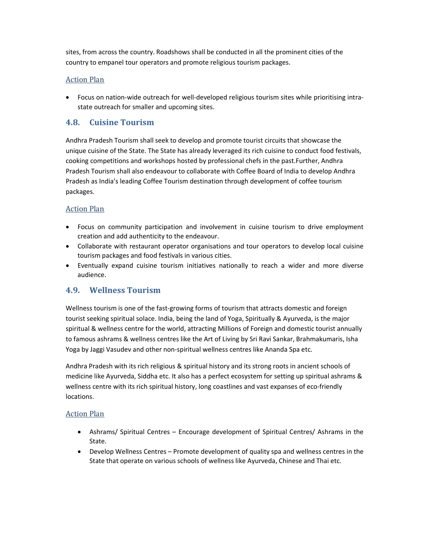sites, from across the country. Roadshows shall be conducted in all the prominent cities of the country to empanel tour operators and promote religious tourism packages.

#### Action Plan

• Focus on nation-wide outreach for well-developed religious tourism sites while prioritising intrastate outreach for smaller and upcoming sites.

### **4.8. Cuisine Tourism**

Andhra Pradesh Tourism shall seek to develop and promote tourist circuits that showcase the unique cuisine of the State. The State has already leveraged its rich cuisine to conduct food festivals, cooking competitions and workshops hosted by professional chefs in the past.Further, Andhra Pradesh Tourism shall also endeavour to collaborate with Coffee Board of India to develop Andhra Pradesh as India's leading Coffee Tourism destination through development of coffee tourism packages.

#### Action Plan

- Focus on community participation and involvement in cuisine tourism to drive employment creation and add authenticity to the endeavour.
- Collaborate with restaurant operator organisations and tour operators to develop local cuisine tourism packages and food festivals in various cities.
- Eventually expand cuisine tourism initiatives nationally to reach a wider and more diverse audience.

### **4.9. Wellness Tourism**

Wellness tourism is one of the fast-growing forms of tourism that attracts domestic and foreign tourist seeking spiritual solace. India, being the land of Yoga, Spiritually & Ayurveda, is the major spiritual & wellness centre for the world, attracting Millions of Foreign and domestic tourist annually to famous ashrams & wellness centres like the Art of Living by Sri Ravi Sankar, Brahmakumaris, Isha Yoga by Jaggi Vasudev and other non-spiritual wellness centres like Ananda Spa etc.

Andhra Pradesh with its rich religious & spiritual history and its strong roots in ancient schools of medicine like Ayurveda, Siddha etc. It also has a perfect ecosystem for setting up spiritual ashrams & wellness centre with its rich spiritual history, long coastlines and vast expanses of eco-friendly locations.

#### Action Plan

- Ashrams/ Spiritual Centres Encourage development of Spiritual Centres/ Ashrams in the State.
- Develop Wellness Centres Promote development of quality spa and wellness centres in the State that operate on various schools of wellness like Ayurveda, Chinese and Thai etc.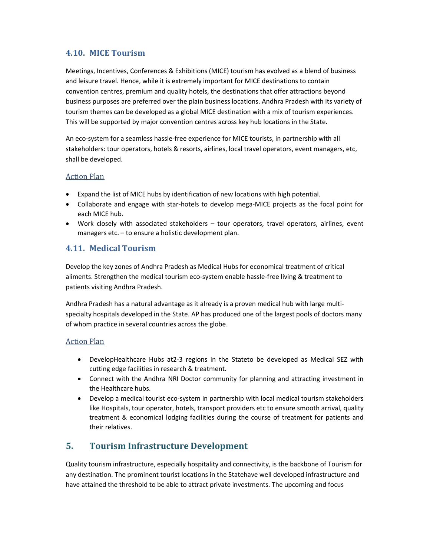### **4.10. MICE Tourism**

Meetings, Incentives, Conferences & Exhibitions (MICE) tourism has evolved as a blend of business and leisure travel. Hence, while it is extremely important for MICE destinations to contain convention centres, premium and quality hotels, the destinations that offer attractions beyond business purposes are preferred over the plain business locations. Andhra Pradesh with its variety of tourism themes can be developed as a global MICE destination with a mix of tourism experiences. This will be supported by major convention centres across key hub locations in the State.

An eco-system for a seamless hassle-free experience for MICE tourists, in partnership with all stakeholders: tour operators, hotels & resorts, airlines, local travel operators, event managers, etc, shall be developed.

#### Action Plan

- Expand the list of MICE hubs by identification of new locations with high potential.
- Collaborate and engage with star-hotels to develop mega-MICE projects as the focal point for each MICE hub.
- Work closely with associated stakeholders tour operators, travel operators, airlines, event managers etc. – to ensure a holistic development plan.

### **4.11. Medical Tourism**

Develop the key zones of Andhra Pradesh as Medical Hubs for economical treatment of critical aliments. Strengthen the medical tourism eco-system enable hassle-free living & treatment to patients visiting Andhra Pradesh.

Andhra Pradesh has a natural advantage as it already is a proven medical hub with large multispecialty hospitals developed in the State. AP has produced one of the largest pools of doctors many of whom practice in several countries across the globe.

#### Action Plan

- DevelopHealthcare Hubs at2-3 regions in the Stateto be developed as Medical SEZ with cutting edge facilities in research & treatment.
- Connect with the Andhra NRI Doctor community for planning and attracting investment in the Healthcare hubs.
- Develop a medical tourist eco-system in partnership with local medical tourism stakeholders like Hospitals, tour operator, hotels, transport providers etc to ensure smooth arrival, quality treatment & economical lodging facilities during the course of treatment for patients and their relatives.

# **5. Tourism Infrastructure Development**

Quality tourism infrastructure, especially hospitality and connectivity, is the backbone of Tourism for any destination. The prominent tourist locations in the Statehave well developed infrastructure and have attained the threshold to be able to attract private investments. The upcoming and focus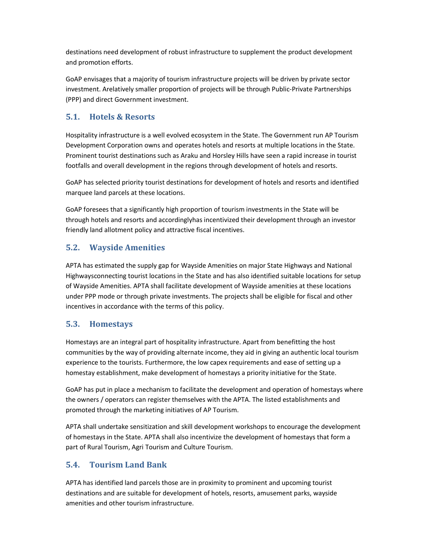destinations need development of robust infrastructure to supplement the product development and promotion efforts.

GoAP envisages that a majority of tourism infrastructure projects will be driven by private sector investment. Arelatively smaller proportion of projects will be through Public-Private Partnerships (PPP) and direct Government investment.

# **5.1. Hotels & Resorts**

Hospitality infrastructure is a well evolved ecosystem in the State. The Government run AP Tourism Development Corporation owns and operates hotels and resorts at multiple locations in the State. Prominent tourist destinations such as Araku and Horsley Hills have seen a rapid increase in tourist footfalls and overall development in the regions through development of hotels and resorts.

GoAP has selected priority tourist destinations for development of hotels and resorts and identified marquee land parcels at these locations.

GoAP foresees that a significantly high proportion of tourism investments in the State will be through hotels and resorts and accordinglyhas incentivized their development through an investor friendly land allotment policy and attractive fiscal incentives.

# **5.2. Wayside Amenities**

APTA has estimated the supply gap for Wayside Amenities on major State Highways and National Highwaysconnecting tourist locations in the State and has also identified suitable locations for setup of Wayside Amenities. APTA shall facilitate development of Wayside amenities at these locations under PPP mode or through private investments. The projects shall be eligible for fiscal and other incentives in accordance with the terms of this policy.

## **5.3. Homestays**

Homestays are an integral part of hospitality infrastructure. Apart from benefitting the host communities by the way of providing alternate income, they aid in giving an authentic local tourism experience to the tourists. Furthermore, the low capex requirements and ease of setting up a homestay establishment, make development of homestays a priority initiative for the State.

GoAP has put in place a mechanism to facilitate the development and operation of homestays where the owners / operators can register themselves with the APTA. The listed establishments and promoted through the marketing initiatives of AP Tourism.

APTA shall undertake sensitization and skill development workshops to encourage the development of homestays in the State. APTA shall also incentivize the development of homestays that form a part of Rural Tourism, Agri Tourism and Culture Tourism.

# **5.4. Tourism Land Bank**

APTA has identified land parcels those are in proximity to prominent and upcoming tourist destinations and are suitable for development of hotels, resorts, amusement parks, wayside amenities and other tourism infrastructure.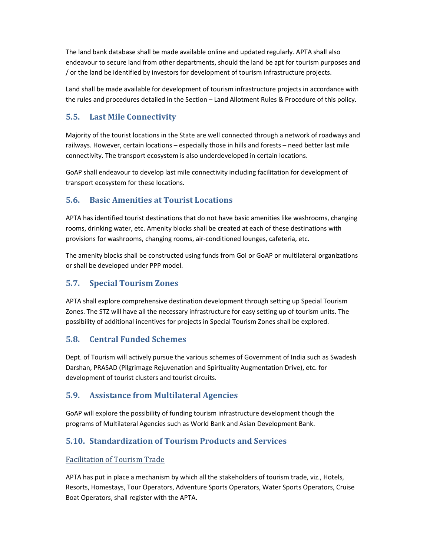The land bank database shall be made available online and updated regularly. APTA shall also endeavour to secure land from other departments, should the land be apt for tourism purposes and / or the land be identified by investors for development of tourism infrastructure projects.

Land shall be made available for development of tourism infrastructure projects in accordance with the rules and procedures detailed in the Section – Land Allotment Rules & Procedure of this policy.

# **5.5. Last Mile Connectivity**

Majority of the tourist locations in the State are well connected through a network of roadways and railways. However, certain locations – especially those in hills and forests – need better last mile connectivity. The transport ecosystem is also underdeveloped in certain locations.

GoAP shall endeavour to develop last mile connectivity including facilitation for development of transport ecosystem for these locations.

# **5.6. Basic Amenities at Tourist Locations**

APTA has identified tourist destinations that do not have basic amenities like washrooms, changing rooms, drinking water, etc. Amenity blocks shall be created at each of these destinations with provisions for washrooms, changing rooms, air-conditioned lounges, cafeteria, etc.

The amenity blocks shall be constructed using funds from GoI or GoAP or multilateral organizations or shall be developed under PPP model.

# **5.7. Special Tourism Zones**

APTA shall explore comprehensive destination development through setting up Special Tourism Zones. The STZ will have all the necessary infrastructure for easy setting up of tourism units. The possibility of additional incentives for projects in Special Tourism Zones shall be explored.

## **5.8. Central Funded Schemes**

Dept. of Tourism will actively pursue the various schemes of Government of India such as Swadesh Darshan, PRASAD (Pilgrimage Rejuvenation and Spirituality Augmentation Drive), etc. for development of tourist clusters and tourist circuits.

# **5.9. Assistance from Multilateral Agencies**

GoAP will explore the possibility of funding tourism infrastructure development though the programs of Multilateral Agencies such as World Bank and Asian Development Bank.

# **5.10. Standardization of Tourism Products and Services**

### Facilitation of Tourism Trade

APTA has put in place a mechanism by which all the stakeholders of tourism trade, viz., Hotels, Resorts, Homestays, Tour Operators, Adventure Sports Operators, Water Sports Operators, Cruise Boat Operators, shall register with the APTA.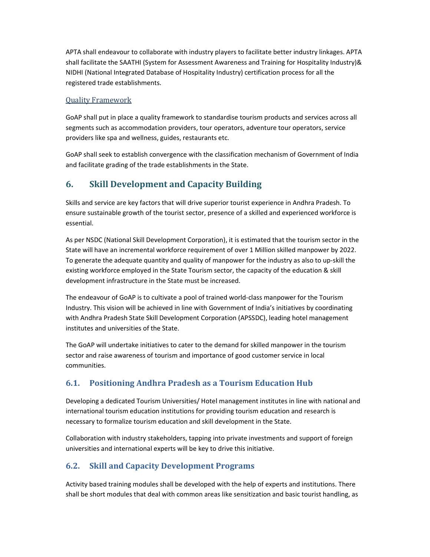APTA shall endeavour to collaborate with industry players to facilitate better industry linkages. APTA shall facilitate the SAATHI (System for Assessment Awareness and Training for Hospitality Industry)& NIDHI (National Integrated Database of Hospitality Industry) certification process for all the registered trade establishments.

#### Quality Framework

GoAP shall put in place a quality framework to standardise tourism products and services across all segments such as accommodation providers, tour operators, adventure tour operators, service providers like spa and wellness, guides, restaurants etc.

GoAP shall seek to establish convergence with the classification mechanism of Government of India and facilitate grading of the trade establishments in the State.

# **6. Skill Development and Capacity Building**

Skills and service are key factors that will drive superior tourist experience in Andhra Pradesh. To ensure sustainable growth of the tourist sector, presence of a skilled and experienced workforce is essential.

As per NSDC (National Skill Development Corporation), it is estimated that the tourism sector in the State will have an incremental workforce requirement of over 1 Million skilled manpower by 2022. To generate the adequate quantity and quality of manpower for the industry as also to up-skill the existing workforce employed in the State Tourism sector, the capacity of the education & skill development infrastructure in the State must be increased.

The endeavour of GoAP is to cultivate a pool of trained world-class manpower for the Tourism Industry. This vision will be achieved in line with Government of India's initiatives by coordinating with Andhra Pradesh State Skill Development Corporation (APSSDC), leading hotel management institutes and universities of the State.

The GoAP will undertake initiatives to cater to the demand for skilled manpower in the tourism sector and raise awareness of tourism and importance of good customer service in local communities.

# **6.1. Positioning Andhra Pradesh as a Tourism Education Hub**

Developing a dedicated Tourism Universities/ Hotel management institutes in line with national and international tourism education institutions for providing tourism education and research is necessary to formalize tourism education and skill development in the State.

Collaboration with industry stakeholders, tapping into private investments and support of foreign universities and international experts will be key to drive this initiative.

# **6.2. Skill and Capacity Development Programs**

Activity based training modules shall be developed with the help of experts and institutions. There shall be short modules that deal with common areas like sensitization and basic tourist handling, as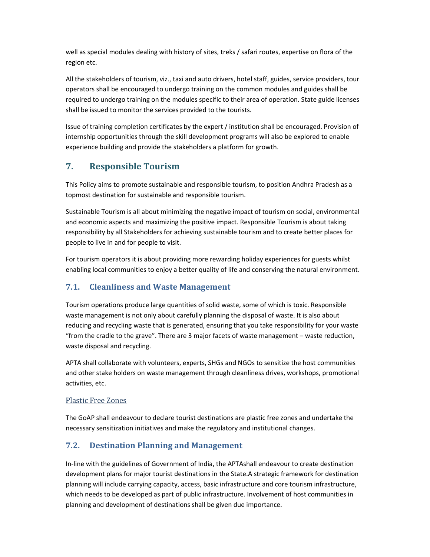well as special modules dealing with history of sites, treks / safari routes, expertise on flora of the region etc.

All the stakeholders of tourism, viz., taxi and auto drivers, hotel staff, guides, service providers, tour operators shall be encouraged to undergo training on the common modules and guides shall be required to undergo training on the modules specific to their area of operation. State guide licenses shall be issued to monitor the services provided to the tourists.

Issue of training completion certificates by the expert / institution shall be encouraged. Provision of internship opportunities through the skill development programs will also be explored to enable experience building and provide the stakeholders a platform for growth.

# **7. Responsible Tourism**

This Policy aims to promote sustainable and responsible tourism, to position Andhra Pradesh as a topmost destination for sustainable and responsible tourism.

Sustainable Tourism is all about minimizing the negative impact of tourism on social, environmental and economic aspects and maximizing the positive impact. Responsible Tourism is about taking responsibility by all Stakeholders for achieving sustainable tourism and to create better places for people to live in and for people to visit.

For tourism operators it is about providing more rewarding holiday experiences for guests whilst enabling local communities to enjoy a better quality of life and conserving the natural environment.

# **7.1. Cleanliness and Waste Management**

Tourism operations produce large quantities of solid waste, some of which is toxic. Responsible waste management is not only about carefully planning the disposal of waste. It is also about reducing and recycling waste that is generated, ensuring that you take responsibility for your waste "from the cradle to the grave". There are 3 major facets of waste management – waste reduction, waste disposal and recycling.

APTA shall collaborate with volunteers, experts, SHGs and NGOs to sensitize the host communities and other stake holders on waste management through cleanliness drives, workshops, promotional activities, etc.

### Plastic Free Zones

The GoAP shall endeavour to declare tourist destinations are plastic free zones and undertake the necessary sensitization initiatives and make the regulatory and institutional changes.

# **7.2. Destination Planning and Management**

In-line with the guidelines of Government of India, the APTAshall endeavour to create destination development plans for major tourist destinations in the State.A strategic framework for destination planning will include carrying capacity, access, basic infrastructure and core tourism infrastructure, which needs to be developed as part of public infrastructure. Involvement of host communities in planning and development of destinations shall be given due importance.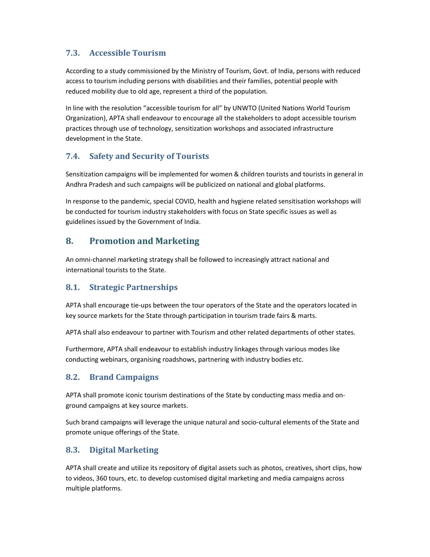# **7.3. Accessible Tourism**

According to a study commissioned by the Ministry of Tourism, Govt. of India, persons with reduced access to tourism including persons with disabilities and their families, potential people with reduced mobility due to old age, represent a third of the population.

In line with the resolution "accessible tourism for all" by UNWTO (United Nations World Tourism Organization), APTA shall endeavour to encourage all the stakeholders to adopt accessible tourism practices through use of technology, sensitization workshops and associated infrastructure development in the State.

# **7.4. Safety and Security of Tourists**

Sensitization campaigns will be implemented for women & children tourists and tourists in general in Andhra Pradesh and such campaigns will be publicized on national and global platforms.

In response to the pandemic, special COVID, health and hygiene related sensitisation workshops will be conducted for tourism industry stakeholders with focus on State specific issues as well as guidelines issued by the Government of India.

# **8. Promotion and Marketing**

An omni-channel marketing strategy shall be followed to increasingly attract national and international tourists to the State.

## **8.1. Strategic Partnerships**

APTA shall encourage tie-ups between the tour operators of the State and the operators located in key source markets for the State through participation in tourism trade fairs & marts.

APTA shall also endeavour to partner with Tourism and other related departments of other states.

Furthermore, APTA shall endeavour to establish industry linkages through various modes like conducting webinars, organising roadshows, partnering with industry bodies etc.

## **8.2. Brand Campaigns**

APTA shall promote iconic tourism destinations of the State by conducting mass media and onground campaigns at key source markets.

Such brand campaigns will leverage the unique natural and socio-cultural elements of the State and promote unique offerings of the State.

## **8.3. Digital Marketing**

APTA shall create and utilize its repository of digital assets such as photos, creatives, short clips, how to videos, 360 tours, etc. to develop customised digital marketing and media campaigns across multiple platforms.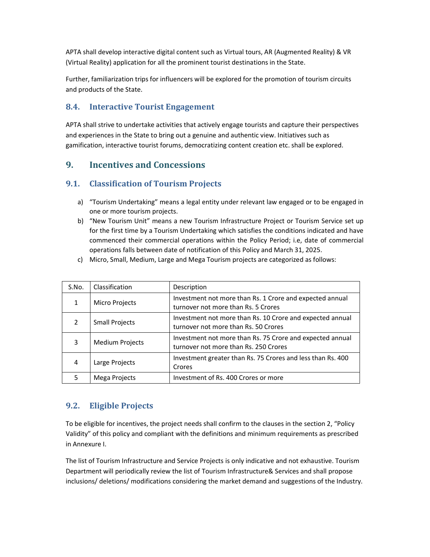APTA shall develop interactive digital content such as Virtual tours, AR (Augmented Reality) & VR (Virtual Reality) application for all the prominent tourist destinations in the State.

Further, familiarization trips for influencers will be explored for the promotion of tourism circuits and products of the State.

# **8.4. Interactive Tourist Engagement**

APTA shall strive to undertake activities that actively engage tourists and capture their perspectives and experiences in the State to bring out a genuine and authentic view. Initiatives such as gamification, interactive tourist forums, democratizing content creation etc. shall be explored.

# **9. Incentives and Concessions**

## **9.1. Classification of Tourism Projects**

- a) "Tourism Undertaking" means a legal entity under relevant law engaged or to be engaged in one or more tourism projects.
- b) "New Tourism Unit" means a new Tourism Infrastructure Project or Tourism Service set up for the first time by a Tourism Undertaking which satisfies the conditions indicated and have commenced their commercial operations within the Policy Period; i.e, date of commercial operations falls between date of notification of this Policy and March 31, 2025.
- c) Micro, Small, Medium, Large and Mega Tourism projects are categorized as follows:

| S.No.         | Classification         | Description                                                                                        |
|---------------|------------------------|----------------------------------------------------------------------------------------------------|
|               | <b>Micro Projects</b>  | Investment not more than Rs. 1 Crore and expected annual<br>turnover not more than Rs. 5 Crores    |
| $\mathcal{P}$ | <b>Small Projects</b>  | Investment not more than Rs. 10 Crore and expected annual<br>turnover not more than Rs. 50 Crores  |
| 3             | <b>Medium Projects</b> | Investment not more than Rs. 75 Crore and expected annual<br>turnover not more than Rs. 250 Crores |
| 4             | Large Projects         | Investment greater than Rs. 75 Crores and less than Rs. 400<br>Crores                              |
| 5             | Mega Projects          | Investment of Rs. 400 Crores or more                                                               |

## **9.2. Eligible Projects**

To be eligible for incentives, the project needs shall confirm to the clauses in the section 2, "Policy Validity" of this policy and compliant with the definitions and minimum requirements as prescribed in Annexure I.

The list of Tourism Infrastructure and Service Projects is only indicative and not exhaustive. Tourism Department will periodically review the list of Tourism Infrastructure& Services and shall propose inclusions/ deletions/ modifications considering the market demand and suggestions of the Industry.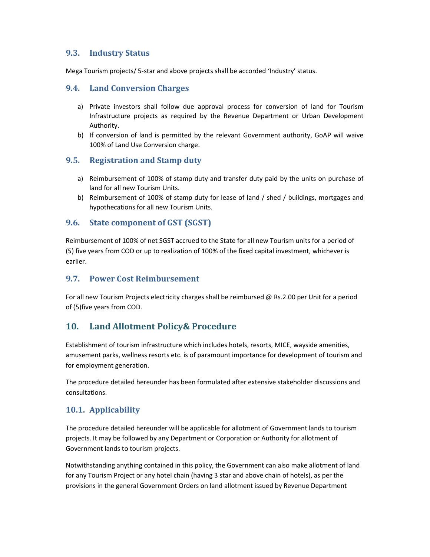### **9.3. Industry Status**

Mega Tourism projects/ 5-star and above projects shall be accorded 'Industry' status.

### **9.4. Land Conversion Charges**

- a) Private investors shall follow due approval process for conversion of land for Tourism Infrastructure projects as required by the Revenue Department or Urban Development Authority.
- b) If conversion of land is permitted by the relevant Government authority, GoAP will waive 100% of Land Use Conversion charge.

### **9.5. Registration and Stamp duty**

- a) Reimbursement of 100% of stamp duty and transfer duty paid by the units on purchase of land for all new Tourism Units.
- b) Reimbursement of 100% of stamp duty for lease of land / shed / buildings, mortgages and hypothecations for all new Tourism Units.

### **9.6. State component of GST (SGST)**

Reimbursement of 100% of net SGST accrued to the State for all new Tourism units for a period of (5) five years from COD or up to realization of 100% of the fixed capital investment, whichever is earlier.

### **9.7. Power Cost Reimbursement**

For all new Tourism Projects electricity charges shall be reimbursed @ Rs.2.00 per Unit for a period of (5)five years from COD.

## **10. Land Allotment Policy& Procedure**

Establishment of tourism infrastructure which includes hotels, resorts, MICE, wayside amenities, amusement parks, wellness resorts etc. is of paramount importance for development of tourism and for employment generation.

The procedure detailed hereunder has been formulated after extensive stakeholder discussions and consultations.

## **10.1. Applicability**

The procedure detailed hereunder will be applicable for allotment of Government lands to tourism projects. It may be followed by any Department or Corporation or Authority for allotment of Government lands to tourism projects.

Notwithstanding anything contained in this policy, the Government can also make allotment of land for any Tourism Project or any hotel chain (having 3 star and above chain of hotels), as per the provisions in the general Government Orders on land allotment issued by Revenue Department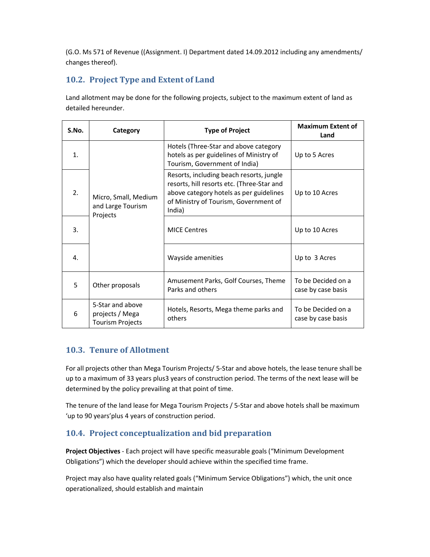(G.O. Ms 571 of Revenue ((Assignment. I) Department dated 14.09.2012 including any amendments/ changes thereof).

# **10.2. Project Type and Extent of Land**

Land allotment may be done for the following projects, subject to the maximum extent of land as detailed hereunder.

| S.No. | Category                                                       | <b>Type of Project</b>                                                                                                                                                               | <b>Maximum Extent of</b><br>Land         |
|-------|----------------------------------------------------------------|--------------------------------------------------------------------------------------------------------------------------------------------------------------------------------------|------------------------------------------|
| 1.    |                                                                | Hotels (Three-Star and above category<br>hotels as per guidelines of Ministry of<br>Tourism, Government of India)                                                                    | Up to 5 Acres                            |
| 2.    | Micro, Small, Medium<br>and Large Tourism<br>Projects          | Resorts, including beach resorts, jungle<br>resorts, hill resorts etc. (Three-Star and<br>above category hotels as per guidelines<br>of Ministry of Tourism, Government of<br>India) | Up to 10 Acres                           |
| 3.    |                                                                | <b>MICE Centres</b>                                                                                                                                                                  | Up to 10 Acres                           |
| 4.    |                                                                | Wayside amenities                                                                                                                                                                    | Up to 3 Acres                            |
| 5     | Other proposals                                                | Amusement Parks, Golf Courses, Theme<br>Parks and others                                                                                                                             | To be Decided on a<br>case by case basis |
| 6     | 5-Star and above<br>projects / Mega<br><b>Tourism Projects</b> | Hotels, Resorts, Mega theme parks and<br>others                                                                                                                                      | To be Decided on a<br>case by case basis |

## **10.3. Tenure of Allotment**

For all projects other than Mega Tourism Projects/ 5-Star and above hotels, the lease tenure shall be up to a maximum of 33 years plus3 years of construction period. The terms of the next lease will be determined by the policy prevailing at that point of time.

The tenure of the land lease for Mega Tourism Projects / 5-Star and above hotels shall be maximum 'up to 90 years'plus 4 years of construction period.

# **10.4. Project conceptualization and bid preparation**

**Project Objectives** - Each project will have specific measurable goals ("Minimum Development Obligations") which the developer should achieve within the specified time frame.

Project may also have quality related goals ("Minimum Service Obligations") which, the unit once operationalized, should establish and maintain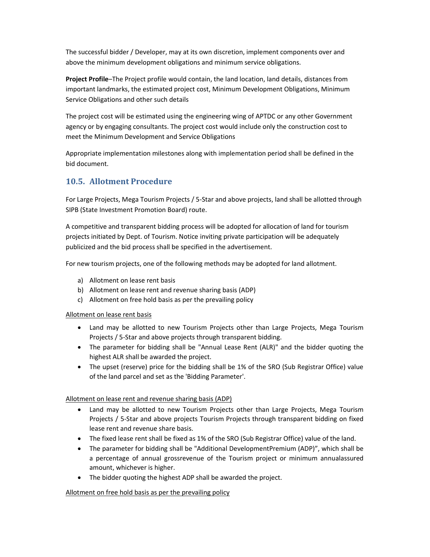The successful bidder / Developer, may at its own discretion, implement components over and above the minimum development obligations and minimum service obligations.

**Project Profile**–The Project profile would contain, the land location, land details, distances from important landmarks, the estimated project cost, Minimum Development Obligations, Minimum Service Obligations and other such details

The project cost will be estimated using the engineering wing of APTDC or any other Government agency or by engaging consultants. The project cost would include only the construction cost to meet the Minimum Development and Service Obligations

Appropriate implementation milestones along with implementation period shall be defined in the bid document.

# **10.5. Allotment Procedure**

For Large Projects, Mega Tourism Projects / 5-Star and above projects, land shall be allotted through SIPB (State Investment Promotion Board) route.

A competitive and transparent bidding process will be adopted for allocation of land for tourism projects initiated by Dept. of Tourism. Notice inviting private participation will be adequately publicized and the bid process shall be specified in the advertisement.

For new tourism projects, one of the following methods may be adopted for land allotment.

- a) Allotment on lease rent basis
- b) Allotment on lease rent and revenue sharing basis (ADP)
- c) Allotment on free hold basis as per the prevailing policy

#### Allotment on lease rent basis

- Land may be allotted to new Tourism Projects other than Large Projects, Mega Tourism Projects / 5-Star and above projects through transparent bidding.
- The parameter for bidding shall be "Annual Lease Rent (ALR)" and the bidder quoting the highest ALR shall be awarded the project.
- The upset (reserve) price for the bidding shall be 1% of the SRO (Sub Registrar Office) value of the land parcel and set as the 'Bidding Parameter'.

#### Allotment on lease rent and revenue sharing basis (ADP)

- Land may be allotted to new Tourism Projects other than Large Projects, Mega Tourism Projects / 5-Star and above projects Tourism Projects through transparent bidding on fixed lease rent and revenue share basis.
- The fixed lease rent shall be fixed as 1% of the SRO (Sub Registrar Office) value of the land.
- The parameter for bidding shall be "Additional DevelopmentPremium (ADP)", which shall be a percentage of annual grossrevenue of the Tourism project or minimum annualassured amount, whichever is higher.
- The bidder quoting the highest ADP shall be awarded the project.

#### Allotment on free hold basis as per the prevailing policy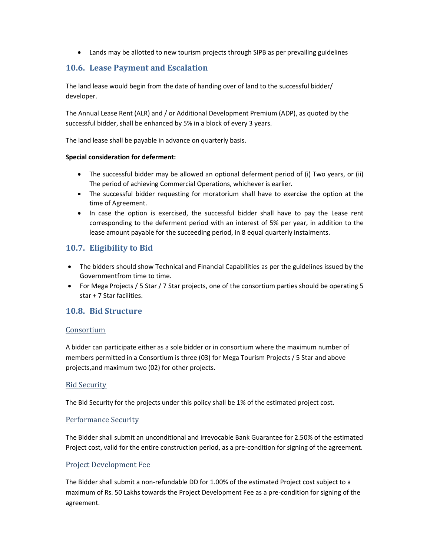• Lands may be allotted to new tourism projects through SIPB as per prevailing guidelines

### **10.6. Lease Payment and Escalation**

The land lease would begin from the date of handing over of land to the successful bidder/ developer.

The Annual Lease Rent (ALR) and / or Additional Development Premium (ADP), as quoted by the successful bidder, shall be enhanced by 5% in a block of every 3 years.

The land lease shall be payable in advance on quarterly basis.

#### **Special consideration for deferment:**

- The successful bidder may be allowed an optional deferment period of (i) Two years, or (ii) The period of achieving Commercial Operations, whichever is earlier.
- The successful bidder requesting for moratorium shall have to exercise the option at the time of Agreement.
- In case the option is exercised, the successful bidder shall have to pay the Lease rent corresponding to the deferment period with an interest of 5% per year, in addition to the lease amount payable for the succeeding period, in 8 equal quarterly instalments.

### **10.7. Eligibility to Bid**

- The bidders should show Technical and Financial Capabilities as per the guidelines issued by the Governmentfrom time to time.
- For Mega Projects / 5 Star / 7 Star projects, one of the consortium parties should be operating 5 star + 7 Star facilities.

### **10.8. Bid Structure**

#### Consortium

A bidder can participate either as a sole bidder or in consortium where the maximum number of members permitted in a Consortium is three (03) for Mega Tourism Projects / 5 Star and above projects,and maximum two (02) for other projects.

#### Bid Security

The Bid Security for the projects under this policy shall be 1% of the estimated project cost.

#### Performance Security

The Bidder shall submit an unconditional and irrevocable Bank Guarantee for 2.50% of the estimated Project cost, valid for the entire construction period, as a pre-condition for signing of the agreement.

#### Project Development Fee

The Bidder shall submit a non-refundable DD for 1.00% of the estimated Project cost subject to a maximum of Rs. 50 Lakhs towards the Project Development Fee as a pre-condition for signing of the agreement.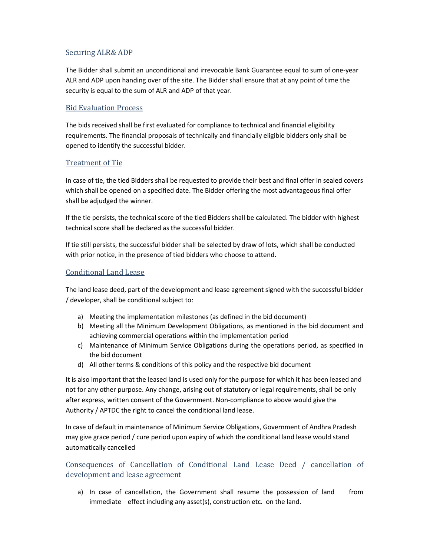#### Securing ALR& ADP

The Bidder shall submit an unconditional and irrevocable Bank Guarantee equal to sum of one-year ALR and ADP upon handing over of the site. The Bidder shall ensure that at any point of time the security is equal to the sum of ALR and ADP of that year.

#### Bid Evaluation Process

The bids received shall be first evaluated for compliance to technical and financial eligibility requirements. The financial proposals of technically and financially eligible bidders only shall be opened to identify the successful bidder.

#### Treatment of Tie

In case of tie, the tied Bidders shall be requested to provide their best and final offer in sealed covers which shall be opened on a specified date. The Bidder offering the most advantageous final offer shall be adjudged the winner.

If the tie persists, the technical score of the tied Bidders shall be calculated. The bidder with highest technical score shall be declared as the successful bidder.

If tie still persists, the successful bidder shall be selected by draw of lots, which shall be conducted with prior notice, in the presence of tied bidders who choose to attend.

### Conditional Land Lease

The land lease deed, part of the development and lease agreement signed with the successful bidder / developer, shall be conditional subject to:

- a) Meeting the implementation milestones (as defined in the bid document)
- b) Meeting all the Minimum Development Obligations, as mentioned in the bid document and achieving commercial operations within the implementation period
- c) Maintenance of Minimum Service Obligations during the operations period, as specified in the bid document
- d) All other terms & conditions of this policy and the respective bid document

It is also important that the leased land is used only for the purpose for which it has been leased and not for any other purpose. Any change, arising out of statutory or legal requirements, shall be only after express, written consent of the Government. Non-compliance to above would give the Authority / APTDC the right to cancel the conditional land lease.

In case of default in maintenance of Minimum Service Obligations, Government of Andhra Pradesh may give grace period / cure period upon expiry of which the conditional land lease would stand automatically cancelled

Consequences of Cancellation of Conditional Land Lease Deed / cancellation of development and lease agreement

a) In case of cancellation, the Government shall resume the possession of land from immediate effect including any asset(s), construction etc. on the land.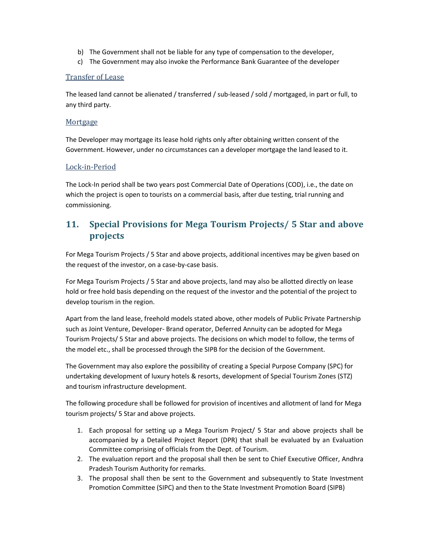- b) The Government shall not be liable for any type of compensation to the developer,
- c) The Government may also invoke the Performance Bank Guarantee of the developer

#### Transfer of Lease

The leased land cannot be alienated / transferred / sub-leased / sold / mortgaged, in part or full, to any third party.

#### Mortgage

The Developer may mortgage its lease hold rights only after obtaining written consent of the Government. However, under no circumstances can a developer mortgage the land leased to it.

#### Lock-in-Period

The Lock-In period shall be two years post Commercial Date of Operations (COD), i.e., the date on which the project is open to tourists on a commercial basis, after due testing, trial running and commissioning.

# **11. Special Provisions for Mega Tourism Projects/ 5 Star and above projects**

For Mega Tourism Projects / 5 Star and above projects, additional incentives may be given based on the request of the investor, on a case-by-case basis.

For Mega Tourism Projects / 5 Star and above projects, land may also be allotted directly on lease hold or free hold basis depending on the request of the investor and the potential of the project to develop tourism in the region.

Apart from the land lease, freehold models stated above, other models of Public Private Partnership such as Joint Venture, Developer- Brand operator, Deferred Annuity can be adopted for Mega Tourism Projects/ 5 Star and above projects. The decisions on which model to follow, the terms of the model etc., shall be processed through the SIPB for the decision of the Government.

The Government may also explore the possibility of creating a Special Purpose Company (SPC) for undertaking development of luxury hotels & resorts, development of Special Tourism Zones (STZ) and tourism infrastructure development.

The following procedure shall be followed for provision of incentives and allotment of land for Mega tourism projects/ 5 Star and above projects.

- 1. Each proposal for setting up a Mega Tourism Project/ 5 Star and above projects shall be accompanied by a Detailed Project Report (DPR) that shall be evaluated by an Evaluation Committee comprising of officials from the Dept. of Tourism.
- 2. The evaluation report and the proposal shall then be sent to Chief Executive Officer, Andhra Pradesh Tourism Authority for remarks.
- 3. The proposal shall then be sent to the Government and subsequently to State Investment Promotion Committee (SIPC) and then to the State Investment Promotion Board (SIPB)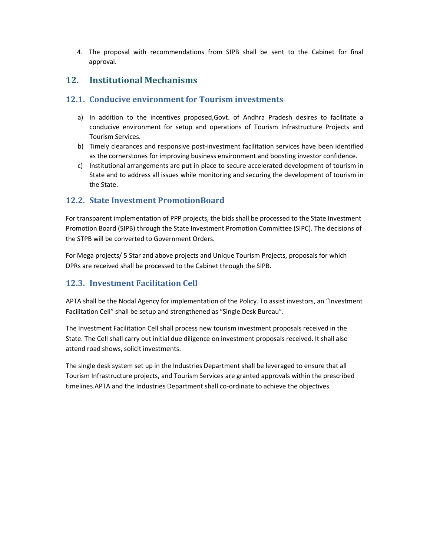4. The proposal with recommendations from SIPB shall be sent to the Cabinet for final approval.

# **12. Institutional Mechanisms**

### **12.1. Conducive environment for Tourism investments**

- a) In addition to the incentives proposed,Govt. of Andhra Pradesh desires to facilitate a conducive environment for setup and operations of Tourism Infrastructure Projects and Tourism Services.
- b) Timely clearances and responsive post-investment facilitation services have been identified as the cornerstones for improving business environment and boosting investor confidence.
- c) Institutional arrangements are put in place to secure accelerated development of tourism in State and to address all issues while monitoring and securing the development of tourism in the State.

### **12.2. State Investment PromotionBoard**

For transparent implementation of PPP projects, the bids shall be processed to the State Investment Promotion Board (SIPB) through the State Investment Promotion Committee (SIPC). The decisions of the STPB will be converted to Government Orders.

For Mega projects/ 5 Star and above projects and Unique Tourism Projects, proposals for which DPRs are received shall be processed to the Cabinet through the SIPB.

# **12.3. Investment Facilitation Cell**

APTA shall be the Nodal Agency for implementation of the Policy. To assist investors, an "Investment Facilitation Cell" shall be setup and strengthened as "Single Desk Bureau".

The Investment Facilitation Cell shall process new tourism investment proposals received in the State. The Cell shall carry out initial due diligence on investment proposals received. It shall also attend road shows, solicit investments.

The single desk system set up in the Industries Department shall be leveraged to ensure that all Tourism Infrastructure projects, and Tourism Services are granted approvals within the prescribed timelines.APTA and the Industries Department shall co-ordinate to achieve the objectives.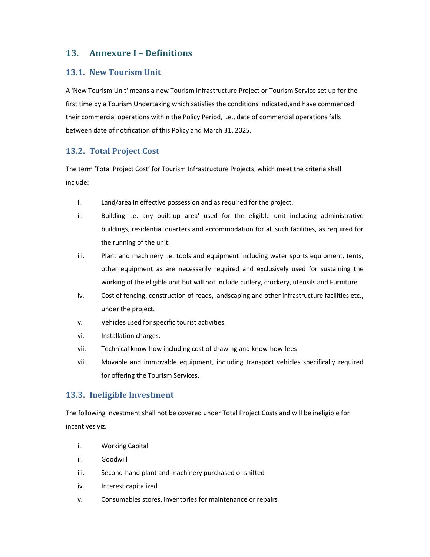# **13. Annexure I – Definitions**

#### **13.1. New Tourism Unit**

A 'New Tourism Unit' means a new Tourism Infrastructure Project or Tourism Service set up for the first time by a Tourism Undertaking which satisfies the conditions indicated,and have commenced their commercial operations within the Policy Period, i.e., date of commercial operations falls between date of notification of this Policy and March 31, 2025.

#### **13.2. Total Project Cost**

The term 'Total Project Cost' for Tourism Infrastructure Projects, which meet the criteria shall include:

- i. Land/area in effective possession and as required for the project.
- ii. Building i.e. any built-up area' used for the eligible unit including administrative buildings, residential quarters and accommodation for all such facilities, as required for the running of the unit.
- iii. Plant and machinery i.e. tools and equipment including water sports equipment, tents, other equipment as are necessarily required and exclusively used for sustaining the working of the eligible unit but will not include cutlery, crockery, utensils and Furniture.
- iv. Cost of fencing, construction of roads, landscaping and other infrastructure facilities etc., under the project.
- v. Vehicles used for specific tourist activities.
- vi. Installation charges.
- vii. Technical know-how including cost of drawing and know-how fees
- viii. Movable and immovable equipment, including transport vehicles specifically required for offering the Tourism Services.

### **13.3. Ineligible Investment**

The following investment shall not be covered under Total Project Costs and will be ineligible for incentives viz.

- i. Working Capital
- ii. Goodwill
- iii. Second-hand plant and machinery purchased or shifted
- iv. Interest capitalized
- v. Consumables stores, inventories for maintenance or repairs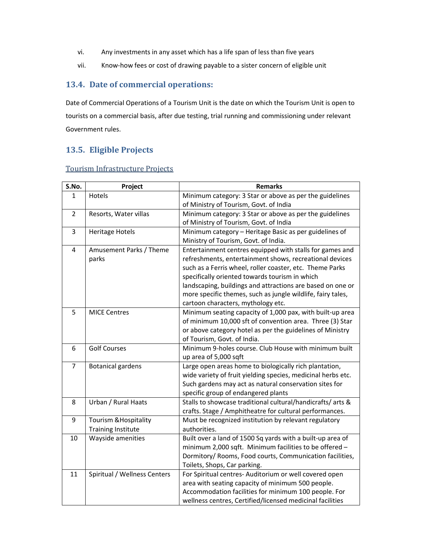- vi. Any investments in any asset which has a life span of less than five years
- vii. Know-how fees or cost of drawing payable to a sister concern of eligible unit

### **13.4. Date of commercial operations:**

Date of Commercial Operations of a Tourism Unit is the date on which the Tourism Unit is open to tourists on a commercial basis, after due testing, trial running and commissioning under relevant Government rules.

## **13.5. Eligible Projects**

#### Tourism Infrastructure Projects

| S.No.          | Project                          | <b>Remarks</b>                                               |
|----------------|----------------------------------|--------------------------------------------------------------|
| 1              | Hotels                           | Minimum category: 3 Star or above as per the guidelines      |
|                |                                  | of Ministry of Tourism, Govt. of India                       |
| $\overline{2}$ | Resorts, Water villas            | Minimum category: 3 Star or above as per the guidelines      |
|                |                                  | of Ministry of Tourism, Govt. of India                       |
| 3              | <b>Heritage Hotels</b>           | Minimum category - Heritage Basic as per guidelines of       |
|                |                                  | Ministry of Tourism, Govt. of India.                         |
| 4              | Amusement Parks / Theme          | Entertainment centres equipped with stalls for games and     |
|                | parks                            | refreshments, entertainment shows, recreational devices      |
|                |                                  | such as a Ferris wheel, roller coaster, etc. Theme Parks     |
|                |                                  | specifically oriented towards tourism in which               |
|                |                                  | landscaping, buildings and attractions are based on one or   |
|                |                                  | more specific themes, such as jungle wildlife, fairy tales,  |
|                |                                  | cartoon characters, mythology etc.                           |
| 5              | <b>MICE Centres</b>              | Minimum seating capacity of 1,000 pax, with built-up area    |
|                |                                  | of minimum 10,000 sft of convention area. Three (3) Star     |
|                |                                  | or above category hotel as per the guidelines of Ministry    |
|                |                                  | of Tourism, Govt. of India.                                  |
| 6              | <b>Golf Courses</b>              | Minimum 9-holes course. Club House with minimum built        |
|                |                                  | up area of 5,000 sqft                                        |
| $\overline{7}$ | <b>Botanical gardens</b>         | Large open areas home to biologically rich plantation,       |
|                |                                  | wide variety of fruit yielding species, medicinal herbs etc. |
|                |                                  | Such gardens may act as natural conservation sites for       |
|                |                                  | specific group of endangered plants                          |
| 8              | Urban / Rural Haats              | Stalls to showcase traditional cultural/handicrafts/ arts &  |
|                |                                  | crafts. Stage / Amphitheatre for cultural performances.      |
| 9              | <b>Tourism &amp; Hospitality</b> | Must be recognized institution by relevant regulatory        |
|                | <b>Training Institute</b>        | authorities.                                                 |
| 10             | Wayside amenities                | Built over a land of 1500 Sq yards with a built-up area of   |
|                |                                  | minimum 2,000 sqft. Minimum facilities to be offered -       |
|                |                                  | Dormitory/ Rooms, Food courts, Communication facilities,     |
|                |                                  | Toilets, Shops, Car parking.                                 |
| 11             | Spiritual / Wellness Centers     | For Spiritual centres- Auditorium or well covered open       |
|                |                                  | area with seating capacity of minimum 500 people.            |
|                |                                  | Accommodation facilities for minimum 100 people. For         |
|                |                                  | wellness centres, Certified/licensed medicinal facilities    |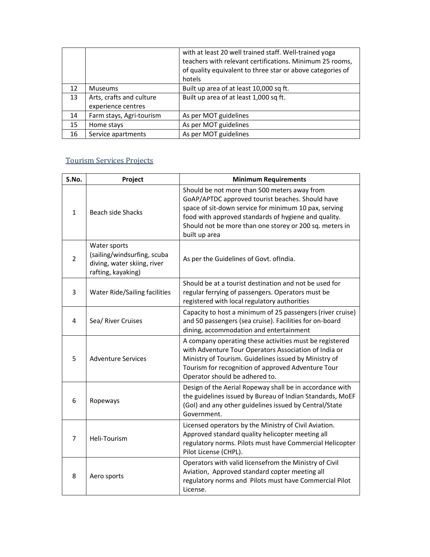|    |                                                | with at least 20 well trained staff. Well-trained yoga<br>teachers with relevant certifications. Minimum 25 rooms,<br>of quality equivalent to three star or above categories of<br>hotels |
|----|------------------------------------------------|--------------------------------------------------------------------------------------------------------------------------------------------------------------------------------------------|
| 12 | <b>Museums</b>                                 | Built up area of at least 10,000 sq ft.                                                                                                                                                    |
| 13 | Arts, crafts and culture<br>experience centres | Built up area of at least 1,000 sq ft.                                                                                                                                                     |
| 14 | Farm stays, Agri-tourism                       | As per MOT guidelines                                                                                                                                                                      |
| 15 | Home stays                                     | As per MOT guidelines                                                                                                                                                                      |
| 16 | Service apartments                             | As per MOT guidelines                                                                                                                                                                      |

# Tourism Services Projects

| S.No.          | Project                                                                                          | <b>Minimum Requirements</b>                                                                                                                                                                                                                                                                   |
|----------------|--------------------------------------------------------------------------------------------------|-----------------------------------------------------------------------------------------------------------------------------------------------------------------------------------------------------------------------------------------------------------------------------------------------|
| $\mathbf{1}$   | <b>Beach side Shacks</b>                                                                         | Should be not more than 500 meters away from<br>GoAP/APTDC approved tourist beaches. Should have<br>space of sit-down service for minimum 10 pax, serving<br>food with approved standards of hygiene and quality.<br>Should not be more than one storey or 200 sq. meters in<br>built up area |
| $\overline{2}$ | Water sports<br>(sailing/windsurfing, scuba<br>diving, water skiing, river<br>rafting, kayaking) | As per the Guidelines of Govt. of India.                                                                                                                                                                                                                                                      |
| 3              | Water Ride/Sailing facilities                                                                    | Should be at a tourist destination and not be used for<br>regular ferrying of passengers. Operators must be<br>registered with local regulatory authorities                                                                                                                                   |
| 4              | Sea/ River Cruises                                                                               | Capacity to host a minimum of 25 passengers (river cruise)<br>and 50 passengers (sea cruise). Facilities for on-board<br>dining, accommodation and entertainment                                                                                                                              |
| 5              | <b>Adventure Services</b>                                                                        | A company operating these activities must be registered<br>with Adventure Tour Operators Association of India or<br>Ministry of Tourism. Guidelines issued by Ministry of<br>Tourism for recognition of approved Adventure Tour<br>Operator should be adhered to.                             |
| 6              | Ropeways                                                                                         | Design of the Aerial Ropeway shall be in accordance with<br>the guidelines issued by Bureau of Indian Standards, MoEF<br>(GoI) and any other guidelines issued by Central/State<br>Government.                                                                                                |
| $\overline{7}$ | Heli-Tourism                                                                                     | Licensed operators by the Ministry of Civil Aviation.<br>Approved standard quality helicopter meeting all<br>regulatory norms. Pilots must have Commercial Helicopter<br>Pilot License (CHPL).                                                                                                |
| 8              | Aero sports                                                                                      | Operators with valid licensefrom the Ministry of Civil<br>Aviation, Approved standard copter meeting all<br>regulatory norms and Pilots must have Commercial Pilot<br>License.                                                                                                                |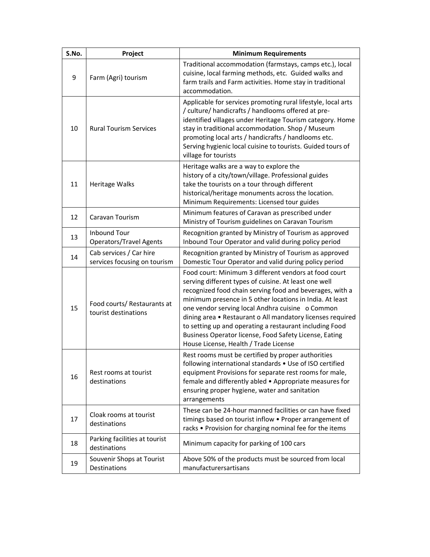| S.No. | Project                                                 | <b>Minimum Requirements</b>                                                                                                                                                                                                                                                                                                                                                                                                                                                                                            |
|-------|---------------------------------------------------------|------------------------------------------------------------------------------------------------------------------------------------------------------------------------------------------------------------------------------------------------------------------------------------------------------------------------------------------------------------------------------------------------------------------------------------------------------------------------------------------------------------------------|
| 9     | Farm (Agri) tourism                                     | Traditional accommodation (farmstays, camps etc.), local<br>cuisine, local farming methods, etc. Guided walks and<br>farm trails and Farm activities. Home stay in traditional<br>accommodation.                                                                                                                                                                                                                                                                                                                       |
| 10    | <b>Rural Tourism Services</b>                           | Applicable for services promoting rural lifestyle, local arts<br>/ culture/ handicrafts / handlooms offered at pre-<br>identified villages under Heritage Tourism category. Home<br>stay in traditional accommodation. Shop / Museum<br>promoting local arts / handicrafts / handlooms etc.<br>Serving hygienic local cuisine to tourists. Guided tours of<br>village for tourists                                                                                                                                     |
| 11    | Heritage Walks                                          | Heritage walks are a way to explore the<br>history of a city/town/village. Professional guides<br>take the tourists on a tour through different<br>historical/heritage monuments across the location.<br>Minimum Requirements: Licensed tour guides                                                                                                                                                                                                                                                                    |
| 12    | Caravan Tourism                                         | Minimum features of Caravan as prescribed under<br>Ministry of Tourism guidelines on Caravan Tourism                                                                                                                                                                                                                                                                                                                                                                                                                   |
| 13    | <b>Inbound Tour</b><br><b>Operators/Travel Agents</b>   | Recognition granted by Ministry of Tourism as approved<br>Inbound Tour Operator and valid during policy period                                                                                                                                                                                                                                                                                                                                                                                                         |
| 14    | Cab services / Car hire<br>services focusing on tourism | Recognition granted by Ministry of Tourism as approved<br>Domestic Tour Operator and valid during policy period                                                                                                                                                                                                                                                                                                                                                                                                        |
| 15    | Food courts/ Restaurants at<br>tourist destinations     | Food court: Minimum 3 different vendors at food court<br>serving different types of cuisine. At least one well<br>recognized food chain serving food and beverages, with a<br>minimum presence in 5 other locations in India. At least<br>one vendor serving local Andhra cuisine o Common<br>dining area • Restaurant o All mandatory licenses required<br>to setting up and operating a restaurant including Food<br>Business Operator license, Food Safety License, Eating<br>House License, Health / Trade License |
| 16    | Rest rooms at tourist<br>destinations                   | Rest rooms must be certified by proper authorities<br>following international standards . Use of ISO certified<br>equipment Provisions for separate rest rooms for male,<br>female and differently abled • Appropriate measures for<br>ensuring proper hygiene, water and sanitation<br>arrangements                                                                                                                                                                                                                   |
| 17    | Cloak rooms at tourist<br>destinations                  | These can be 24-hour manned facilities or can have fixed<br>timings based on tourist inflow . Proper arrangement of<br>racks . Provision for charging nominal fee for the items                                                                                                                                                                                                                                                                                                                                        |
| 18    | Parking facilities at tourist<br>destinations           | Minimum capacity for parking of 100 cars                                                                                                                                                                                                                                                                                                                                                                                                                                                                               |
| 19    | Souvenir Shops at Tourist<br>Destinations               | Above 50% of the products must be sourced from local<br>manufacturersartisans                                                                                                                                                                                                                                                                                                                                                                                                                                          |